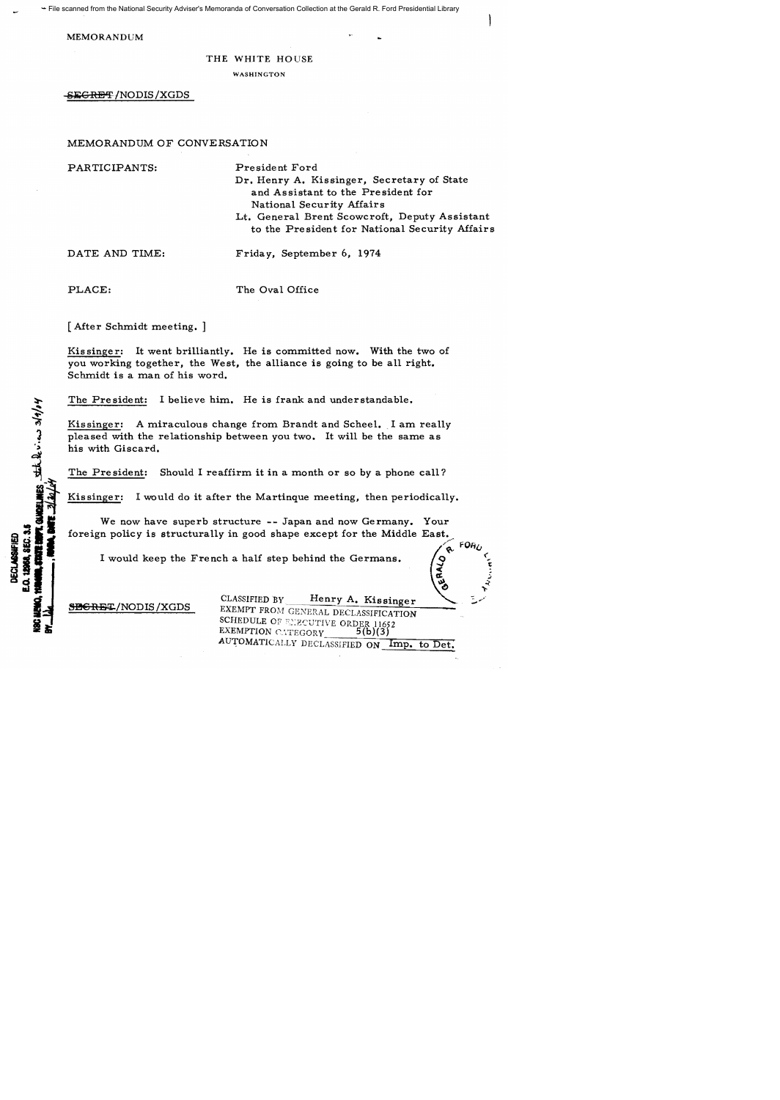File scanned from the National Security Adviser's Memoranda of Conversation Collection at the Gerald R. Ford Presidential Library

MEMORANDUM

## THE WHITE HOUSE

## WASHINGTON

SEGRET/NODIS/XGDS

MEMORANDUM OF CONVERSATION

PARTICIPANTS:

President Ford

Dr. Henry A. Kissinger, Secretary of State and Assistant to the President for National Security Affairs

Lt. General Brent Scowcroft, Deputy Assistant to the President for National Security Affairs

DATE AND TIME:

Friday, September 6, 1974

PLACE:

**SURRELINES** State being 3/9/04

The *Oval* Office

[After Schmidt meeting. ]

Kissinger: It went brilliantly. He is committed now. With the two of you working together, the West, the alliance is going to be all right. Schmidt is a man of his word.

The President: I believe him. He is frank and understandable.

Kissinger: A miraculous change from Brandt and Scheel. I am really pleased with the relationship between you two. It will be the same as his with Giscard.

The Pre sident: Should I reaffirm it in a month or so *by* a phone call?

Kissinger: I would do it after the Martinque meeting, then periodically.

We now have superb structure **--** Japan and now Germany. Your foreign policy is structurally in good shape except for the Middle East.

I would keep the French a half step behind the Germans.

SBGRET/NODIS/XGDS

CLASSIFIED BY Henry A. Kissinger EXEMPT FROM GENERAL DECLASSIFICATION SCHEDULE OF EXECUTIVE ORDER 11652 EXEMPTION CATEGORY  $5(b)(3)$ AUTOMATICALLY DECLASSIFIED ON Imp. to Det.

 $\bullet$ 

 $\mathcal{C}$ 

-<  $\alpha$ ~~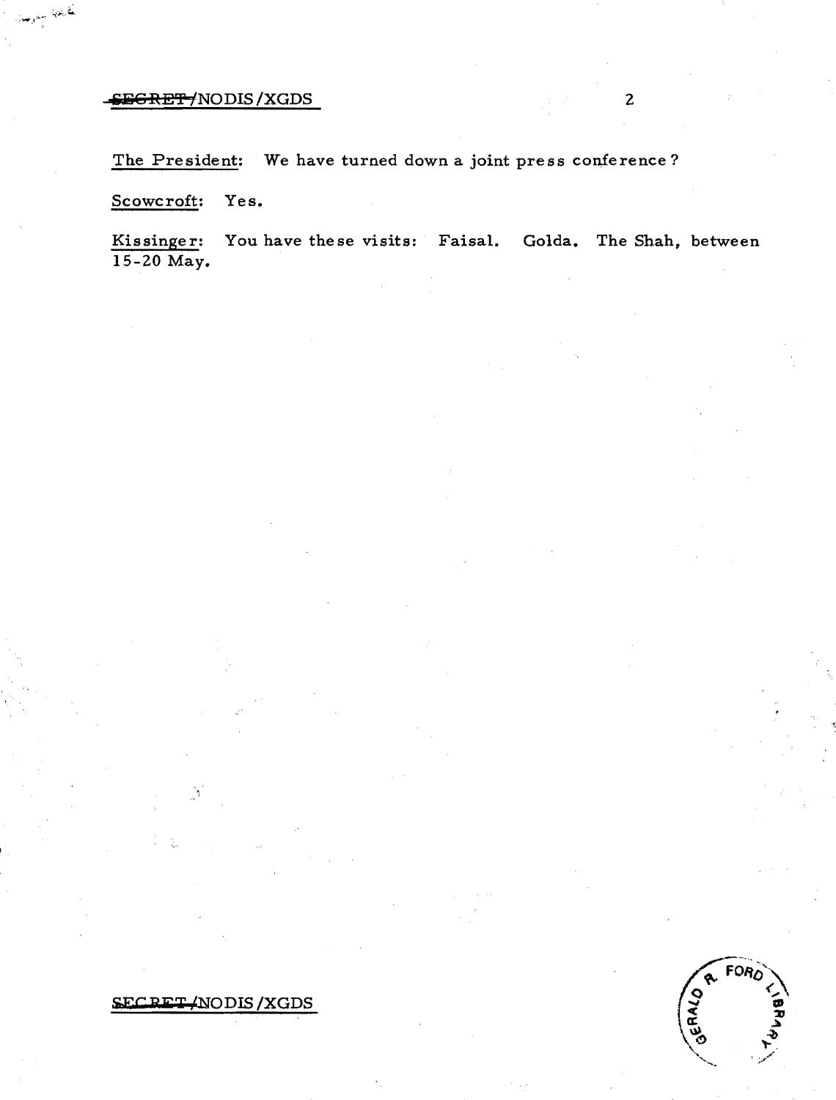The President: We have turned down a joint press conference?

Scowcroft: Yes.

تأريخها بيريا

Kissinger: You have these visits: Faisal. Golda. The Shah, between 15-20 May.



 $FORO$ GERALD